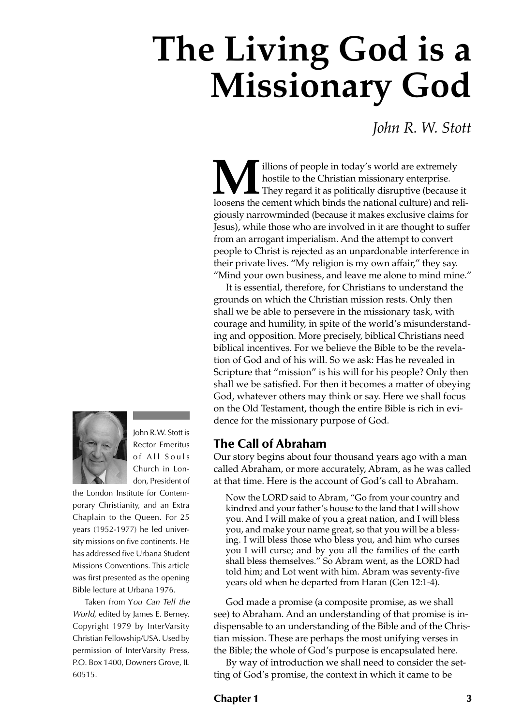# **The Living God is a Missionary God**

# *John R. W. Stott*

**M** lilions of people in today's world are extremely hostile to the Christian missionary enterprise.<br>In they regard it as politically disruptive (because it loosens the cement which binds the national culture) and reliillions of people in today's world are extremely hostile to the Christian missionary enterprise. **L** They regard it as politically disruptive (because it giously narrowminded (because it makes exclusive claims for Jesus), while those who are involved in it are thought to suffer from an arrogant imperialism. And the attempt to convert people to Christ is rejected as an unpardonable interference in their private lives. "My religion is my own affair," they say. "Mind your own business, and leave me alone to mind mine."

It is essential, therefore, for Christians to understand the grounds on which the Christian mission rests. Only then shall we be able to persevere in the missionary task, with courage and humility, in spite of the world's misunderstanding and opposition. More precisely, biblical Christians need biblical incentives. For we believe the Bible to be the revelation of God and of his will. So we ask: Has he revealed in Scripture that "mission" is his will for his people? Only then shall we be satisfied. For then it becomes a matter of obeying God, whatever others may think or say. Here we shall focus on the Old Testament, though the entire Bible is rich in evidence for the missionary purpose of God.

# **The Call of Abraham**

Our story begins about four thousand years ago with a man called Abraham, or more accurately, Abram, as he was called at that time. Here is the account of God's call to Abraham.

Now the LORD said to Abram, "Go from your country and kindred and your father's house to the land that I will show you. And I will make of you a great nation, and I will bless you, and make your name great, so that you will be a blessing. I will bless those who bless you, and him who curses you I will curse; and by you all the families of the earth shall bless themselves." So Abram went, as the LORD had told him; and Lot went with him. Abram was seventy-five years old when he departed from Haran (Gen 12:1-4).

God made a promise (a composite promise, as we shall see) to Abraham. And an understanding of that promise is indispensable to an understanding of the Bible and of the Christian mission. These are perhaps the most unifying verses in the Bible; the whole of God's purpose is encapsulated here.

By way of introduction we shall need to consider the setting of God's promise, the context in which it came to be



John R.W. Stott is Rector Emeritus of All Souls Church in London, President of

the London Institute for Contemporary Christianity, and an Extra Chaplain to the Queen. For 25 years (1952-1977) he led university missions on five continents. He has addressed five Urbana Student Missions Conventions. This article was first presented as the opening Bible lecture at Urbana 1976.

Taken from You Can Tell the World, edited by James E. Berney. Copyright 1979 by InterVarsity Christian Fellowship/USA. Used by permission of InterVarsity Press, P.O. Box 1400, Downers Grove, IL 60515.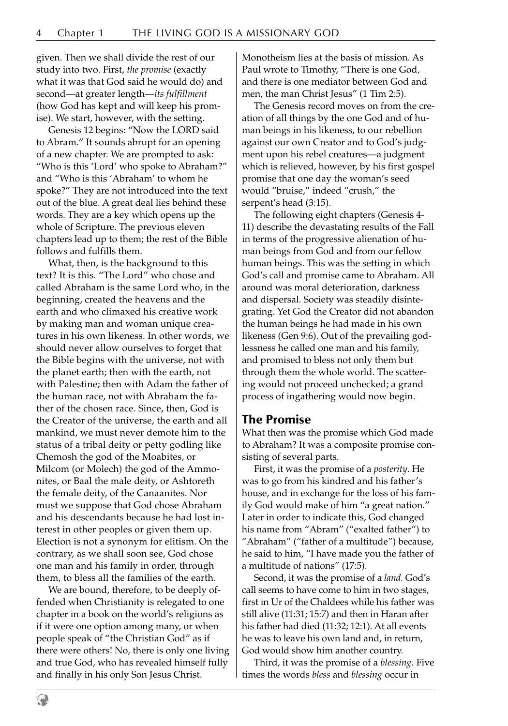given. Then we shall divide the rest of our study into two. First, *the promise* (exactly what it was that God said he would do) and second—at greater length—*its fulfillment* (how God has kept and will keep his promise). We start, however, with the setting.

Genesis 12 begins: "Now the LORD said to Abram." It sounds abrupt for an opening of a new chapter. We are prompted to ask: "Who is this 'Lord' who spoke to Abraham?" and "Who is this 'Abraham' to whom he spoke?" They are not introduced into the text out of the blue. A great deal lies behind these words. They are a key which opens up the whole of Scripture. The previous eleven chapters lead up to them; the rest of the Bible follows and fulfills them.

What, then, is the background to this text? It is this. "The Lord" who chose and called Abraham is the same Lord who, in the beginning, created the heavens and the earth and who climaxed his creative work by making man and woman unique creatures in his own likeness. In other words, we should never allow ourselves to forget that the Bible begins with the universe, not with the planet earth; then with the earth, not with Palestine; then with Adam the father of the human race, not with Abraham the father of the chosen race. Since, then, God is the Creator of the universe, the earth and all mankind, we must never demote him to the status of a tribal deity or petty godling like Chemosh the god of the Moabites, or Milcom (or Molech) the god of the Ammonites, or Baal the male deity, or Ashtoreth the female deity, of the Canaanites. Nor must we suppose that God chose Abraham and his descendants because he had lost interest in other peoples or given them up. Election is not a synonym for elitism. On the contrary, as we shall soon see, God chose one man and his family in order, through them, to bless all the families of the earth.

We are bound, therefore, to be deeply offended when Christianity is relegated to one chapter in a book on the world's religions as if it were one option among many, or when people speak of "the Christian God" as if there were others! No, there is only one living and true God, who has revealed himself fully and finally in his only Son Jesus Christ.

Monotheism lies at the basis of mission. As Paul wrote to Timothy, "There is one God, and there is one mediator between God and men, the man Christ Jesus" (1 Tim 2:5).

The Genesis record moves on from the creation of all things by the one God and of human beings in his likeness, to our rebellion against our own Creator and to God's judgment upon his rebel creatures—a judgment which is relieved, however, by his first gospel promise that one day the woman's seed would "bruise," indeed "crush," the serpent's head (3:15).

The following eight chapters (Genesis 4- 11) describe the devastating results of the Fall in terms of the progressive alienation of human beings from God and from our fellow human beings. This was the setting in which God's call and promise came to Abraham. All around was moral deterioration, darkness and dispersal. Society was steadily disintegrating. Yet God the Creator did not abandon the human beings he had made in his own likeness (Gen 9:6). Out of the prevailing godlessness he called one man and his family, and promised to bless not only them but through them the whole world. The scattering would not proceed unchecked; a grand process of ingathering would now begin.

#### **The Promise**

What then was the promise which God made to Abraham? It was a composite promise consisting of several parts.

First, it was the promise of a *posterity*. He was to go from his kindred and his father's house, and in exchange for the loss of his family God would make of him "a great nation." Later in order to indicate this, God changed his name from "Abram" ("exalted father") to "Abraham" ("father of a multitude") because, he said to him, "I have made you the father of a multitude of nations" (17:5).

Second, it was the promise of a *land.* God's call seems to have come to him in two stages, first in Ur of the Chaldees while his father was still alive (11:31; 15:7) and then in Haran after his father had died (11:32; 12:1). At all events he was to leave his own land and, in return, God would show him another country.

Third, it was the promise of a *blessing*. Five times the words *bless* and *blessing* occur in

9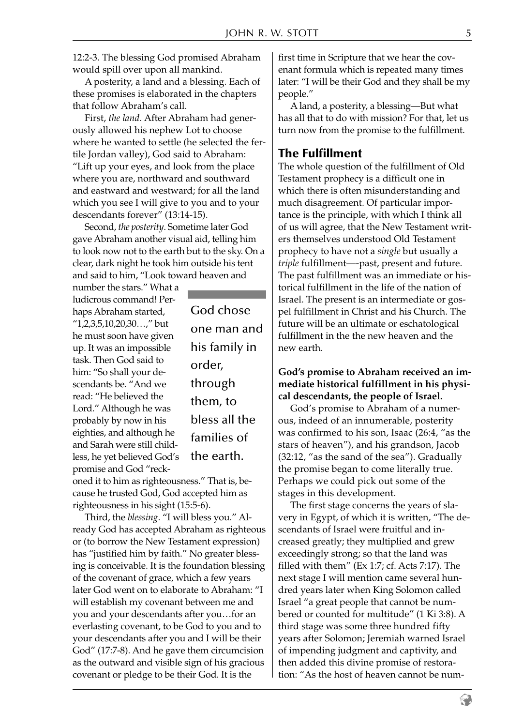12:2-3. The blessing God promised Abraham would spill over upon all mankind.

A posterity, a land and a blessing. Each of these promises is elaborated in the chapters that follow Abraham's call.

First, *the land*. After Abraham had generously allowed his nephew Lot to choose where he wanted to settle (he selected the fertile Jordan valley), God said to Abraham: "Lift up your eyes, and look from the place where you are, northward and southward and eastward and westward; for all the land which you see I will give to you and to your descendants forever" (13:14-15).

Second, *the posterity*. Sometime later God gave Abraham another visual aid, telling him to look now not to the earth but to the sky. On a clear, dark night he took him outside his tent and said to him, "Look toward heaven and

number the stars." What a ludicrous command! Perhaps Abraham started, "1,2,3,5,10,20,30…," but he must soon have given up. It was an impossible task. Then God said to him: "So shall your descendants be. "And we read: "He believed the Lord." Although he was probably by now in his eighties, and although he and Sarah were still childless, he yet believed God's promise and God "reck-

God chose one man and his family in order, through them, to bless all the families of the earth.

oned it to him as righteousness." That is, because he trusted God, God accepted him as righteousness in his sight (15:5-6).

Third, the *blessing*. "I will bless you." Already God has accepted Abraham as righteous or (to borrow the New Testament expression) has "justified him by faith." No greater blessing is conceivable. It is the foundation blessing of the covenant of grace, which a few years later God went on to elaborate to Abraham: "I will establish my covenant between me and you and your descendants after you…for an everlasting covenant, to be God to you and to your descendants after you and I will be their God" (17:7-8). And he gave them circumcision as the outward and visible sign of his gracious covenant or pledge to be their God. It is the

first time in Scripture that we hear the covenant formula which is repeated many times later: "I will be their God and they shall be my people."

A land, a posterity, a blessing—But what has all that to do with mission? For that, let us turn now from the promise to the fulfillment.

# **The Fulfillment**

The whole question of the fulfillment of Old Testament prophecy is a difficult one in which there is often misunderstanding and much disagreement. Of particular importance is the principle, with which I think all of us will agree, that the New Testament writers themselves understood Old Testament prophecy to have not a *single* but usually a *triple* fulfillment—-past, present and future. The past fulfillment was an immediate or historical fulfillment in the life of the nation of Israel. The present is an intermediate or gospel fulfillment in Christ and his Church. The future will be an ultimate or eschatological fulfillment in the the new heaven and the new earth.

#### **God's promise to Abraham received an immediate historical fulfillment in his physical descendants, the people of Israel.**

God's promise to Abraham of a numerous, indeed of an innumerable, posterity was confirmed to his son, Isaac (26:4, "as the stars of heaven"), and his grandson, Jacob (32:12, "as the sand of the sea"). Gradually the promise began to come literally true. Perhaps we could pick out some of the stages in this development.

The first stage concerns the years of slavery in Egypt, of which it is written, "The descendants of Israel were fruitful and increased greatly; they multiplied and grew exceedingly strong; so that the land was filled with them" (Ex 1:7; cf. Acts 7:17). The next stage I will mention came several hundred years later when King Solomon called Israel "a great people that cannot be numbered or counted for multitude" (1 Ki 3:8). A third stage was some three hundred fifty years after Solomon; Jeremiah warned Israel of impending judgment and captivity, and then added this divine promise of restoration: "As the host of heaven cannot be num-

€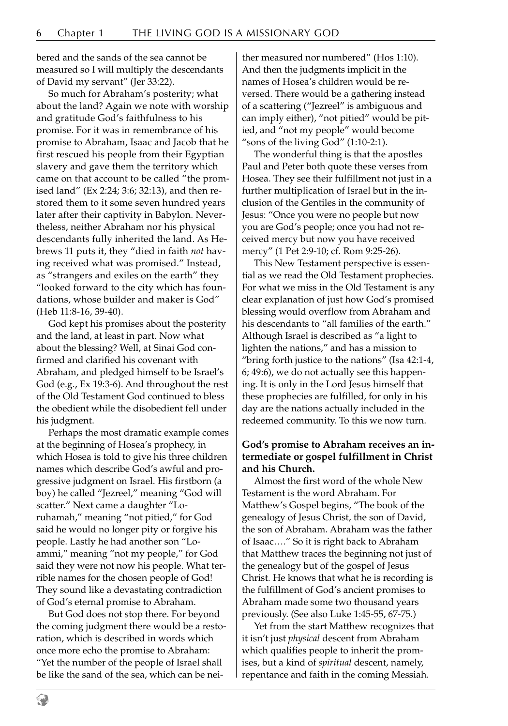bered and the sands of the sea cannot be measured so I will multiply the descendants of David my servant" (Jer 33:22).

So much for Abraham's posterity; what about the land? Again we note with worship and gratitude God's faithfulness to his promise. For it was in remembrance of his promise to Abraham, Isaac and Jacob that he first rescued his people from their Egyptian slavery and gave them the territory which came on that account to be called "the promised land" (Ex 2:24; 3:6; 32:13), and then restored them to it some seven hundred years later after their captivity in Babylon. Nevertheless, neither Abraham nor his physical descendants fully inherited the land. As Hebrews 11 puts it, they "died in faith *not* having received what was promised." Instead, as "strangers and exiles on the earth" they "looked forward to the city which has foundations, whose builder and maker is God" (Heb 11:8-16, 39-40).

God kept his promises about the posterity and the land, at least in part. Now what about the blessing? Well, at Sinai God confirmed and clarified his covenant with Abraham, and pledged himself to be Israel's God (e.g., Ex 19:3-6). And throughout the rest of the Old Testament God continued to bless the obedient while the disobedient fell under his judgment.

Perhaps the most dramatic example comes at the beginning of Hosea's prophecy, in which Hosea is told to give his three children names which describe God's awful and progressive judgment on Israel. His firstborn (a boy) he called "Jezreel," meaning "God will scatter." Next came a daughter "Loruhamah," meaning "not pitied," for God said he would no longer pity or forgive his people. Lastly he had another son "Loammi," meaning "not my people," for God said they were not now his people. What terrible names for the chosen people of God! They sound like a devastating contradiction of God's eternal promise to Abraham.

But God does not stop there. For beyond the coming judgment there would be a restoration, which is described in words which once more echo the promise to Abraham: "Yet the number of the people of Israel shall be like the sand of the sea, which can be neither measured nor numbered" (Hos 1:10). And then the judgments implicit in the names of Hosea's children would be reversed. There would be a gathering instead of a scattering ("Jezreel" is ambiguous and can imply either), "not pitied" would be pitied, and "not my people" would become "sons of the living God" (1:10-2:1).

The wonderful thing is that the apostles Paul and Peter both quote these verses from Hosea. They see their fulfillment not just in a further multiplication of Israel but in the inclusion of the Gentiles in the community of Jesus: "Once you were no people but now you are God's people; once you had not received mercy but now you have received mercy" (1 Pet 2:9-10; cf. Rom 9:25-26).

This New Testament perspective is essential as we read the Old Testament prophecies. For what we miss in the Old Testament is any clear explanation of just how God's promised blessing would overflow from Abraham and his descendants to "all families of the earth." Although Israel is described as "a light to lighten the nations," and has a mission to "bring forth justice to the nations" (Isa 42:1-4, 6; 49:6), we do not actually see this happening. It is only in the Lord Jesus himself that these prophecies are fulfilled, for only in his day are the nations actually included in the redeemed community. To this we now turn.

## **God's promise to Abraham receives an intermediate or gospel fulfillment in Christ and his Church.**

Almost the first word of the whole New Testament is the word Abraham. For Matthew's Gospel begins, "The book of the genealogy of Jesus Christ, the son of David, the son of Abraham. Abraham was the father of Isaac…." So it is right back to Abraham that Matthew traces the beginning not just of the genealogy but of the gospel of Jesus Christ. He knows that what he is recording is the fulfillment of God's ancient promises to Abraham made some two thousand years previously. (See also Luke 1:45-55, 67-75.)

Yet from the start Matthew recognizes that it isn't just *physical* descent from Abraham which qualifies people to inherit the promises, but a kind of *spiritual* descent, namely, repentance and faith in the coming Messiah.

9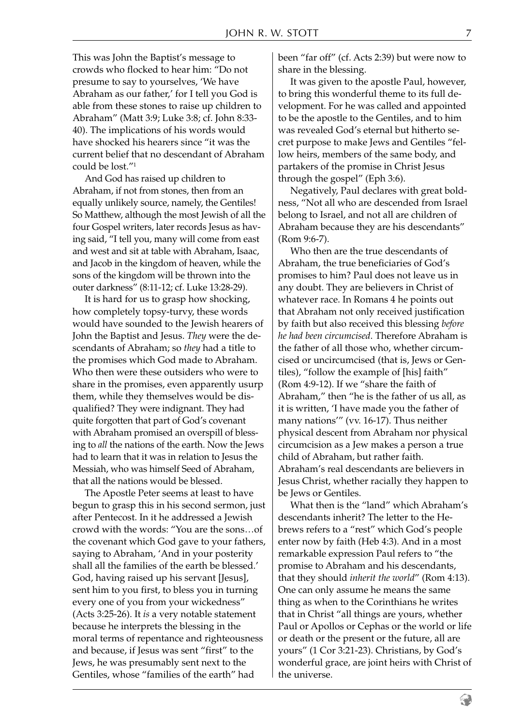This was John the Baptist's message to crowds who flocked to hear him: "Do not presume to say to yourselves, 'We have Abraham as our father,' for I tell you God is able from these stones to raise up children to Abraham" (Matt 3:9; Luke 3:8; cf. John 8:33- 40). The implications of his words would have shocked his hearers since "it was the current belief that no descendant of Abraham could be lost."1

And God has raised up children to Abraham, if not from stones, then from an equally unlikely source, namely, the Gentiles! So Matthew, although the most Jewish of all the four Gospel writers, later records Jesus as having said, "I tell you, many will come from east and west and sit at table with Abraham, Isaac, and Jacob in the kingdom of heaven, while the sons of the kingdom will be thrown into the outer darkness" (8:11-12; cf. Luke 13:28-29).

It is hard for us to grasp how shocking, how completely topsy-turvy, these words would have sounded to the Jewish hearers of John the Baptist and Jesus. *They* were the descendants of Abraham; so *they* had a title to the promises which God made to Abraham. Who then were these outsiders who were to share in the promises, even apparently usurp them, while they themselves would be disqualified? They were indignant. They had quite forgotten that part of God's covenant with Abraham promised an overspill of blessing to *all* the nations of the earth. Now the Jews had to learn that it was in relation to Jesus the Messiah, who was himself Seed of Abraham, that all the nations would be blessed.

The Apostle Peter seems at least to have begun to grasp this in his second sermon, just after Pentecost. In it he addressed a Jewish crowd with the words: "You are the sons…of the covenant which God gave to your fathers, saying to Abraham, 'And in your posterity shall all the families of the earth be blessed.' God, having raised up his servant [Jesus], sent him to you first, to bless you in turning every one of you from your wickedness" (Acts 3:25-26). It *is* a very notable statement because he interprets the blessing in the moral terms of repentance and righteousness and because, if Jesus was sent "first" to the Jews, he was presumably sent next to the Gentiles, whose "families of the earth" had

been "far off" (cf. Acts 2:39) but were now to share in the blessing.

It was given to the apostle Paul, however, to bring this wonderful theme to its full development. For he was called and appointed to be the apostle to the Gentiles, and to him was revealed God's eternal but hitherto secret purpose to make Jews and Gentiles "fellow heirs, members of the same body, and partakers of the promise in Christ Jesus through the gospel" (Eph 3:6).

Negatively, Paul declares with great boldness, "Not all who are descended from Israel belong to Israel, and not all are children of Abraham because they are his descendants" (Rom 9:6-7).

Who then are the true descendants of Abraham, the true beneficiaries of God's promises to him? Paul does not leave us in any doubt. They are believers in Christ of whatever race. In Romans 4 he points out that Abraham not only received justification by faith but also received this blessing *before he had been circumcised*. Therefore Abraham is the father of all those who, whether circumcised or uncircumcised (that is, Jews or Gentiles), "follow the example of [his] faith" (Rom 4:9-12). If we "share the faith of Abraham," then "he is the father of us all, as it is written, 'I have made you the father of many nations'" (vv. 16-17). Thus neither physical descent from Abraham nor physical circumcision as a Jew makes a person a true child of Abraham, but rather faith. Abraham's real descendants are believers in Jesus Christ, whether racially they happen to be Jews or Gentiles.

What then is the "land" which Abraham's descendants inherit? The letter to the Hebrews refers to a "rest" which God's people enter now by faith (Heb 4:3). And in a most remarkable expression Paul refers to "the promise to Abraham and his descendants, that they should *inherit the world*" (Rom 4:13). One can only assume he means the same thing as when to the Corinthians he writes that in Christ "all things are yours, whether Paul or Apollos or Cephas or the world or life or death or the present or the future, all are yours" (1 Cor 3:21-23). Christians, by God's wonderful grace, are joint heirs with Christ of the universe.

9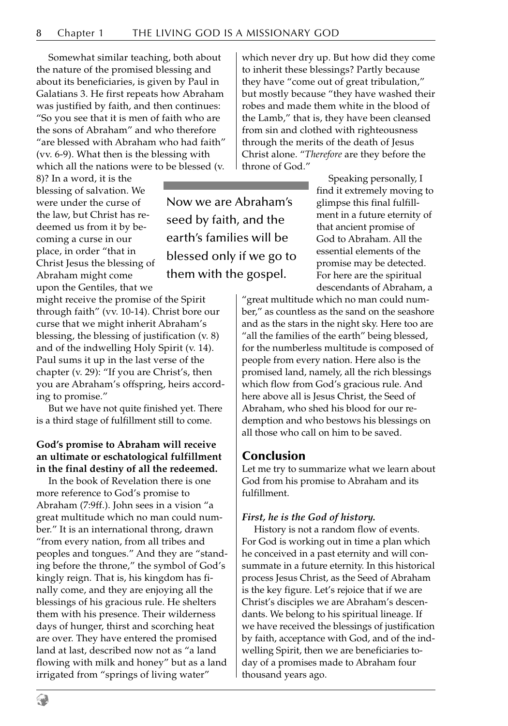Somewhat similar teaching, both about the nature of the promised blessing and about its beneficiaries, is given by Paul in Galatians 3. He first repeats how Abraham was justified by faith, and then continues: "So you see that it is men of faith who are the sons of Abraham" and who therefore "are blessed with Abraham who had faith" (vv. 6-9). What then is the blessing with which all the nations were to be blessed (v.

8)? In a word, it is the blessing of salvation. We were under the curse of the law, but Christ has redeemed us from it by becoming a curse in our place, in order "that in Christ Jesus the blessing of Abraham might come upon the Gentiles, that we

might receive the promise of the Spirit through faith" (vv. 10-14). Christ bore our curse that we might inherit Abraham's blessing, the blessing of justification (v. 8) and of the indwelling Holy Spirit (v. 14). Paul sums it up in the last verse of the chapter (v. 29): "If you are Christ's, then you are Abraham's offspring, heirs according to promise."

But we have not quite finished yet. There is a third stage of fulfillment still to come.

#### **God's promise to Abraham will receive an ultimate or eschatological fulfillment in the final destiny of all the redeemed.**

In the book of Revelation there is one more reference to God's promise to Abraham (7:9ff.). John sees in a vision "a great multitude which no man could number." It is an international throng, drawn "from every nation, from all tribes and peoples and tongues." And they are "standing before the throne," the symbol of God's kingly reign. That is, his kingdom has finally come, and they are enjoying all the blessings of his gracious rule. He shelters them with his presence. Their wilderness days of hunger, thirst and scorching heat are over. They have entered the promised land at last, described now not as "a land flowing with milk and honey" but as a land irrigated from "springs of living water"

which never dry up. But how did they come to inherit these blessings? Partly because they have "come out of great tribulation," but mostly because "they have washed their robes and made them white in the blood of the Lamb," that is, they have been cleansed from sin and clothed with righteousness through the merits of the death of Jesus Christ alone. "*Therefore* are they before the throne of God."

Now we are Abraham's seed by faith, and the earth's families will be blessed only if we go to them with the gospel.

Speaking personally, I find it extremely moving to glimpse this final fulfillment in a future eternity of that ancient promise of God to Abraham. All the essential elements of the promise may be detected. For here are the spiritual descendants of Abraham, a

"great multitude which no man could number," as countless as the sand on the seashore and as the stars in the night sky. Here too are "all the families of the earth" being blessed, for the numberless multitude is composed of people from every nation. Here also is the promised land, namely, all the rich blessings which flow from God's gracious rule. And here above all is Jesus Christ, the Seed of Abraham, who shed his blood for our redemption and who bestows his blessings on all those who call on him to be saved.

## **Conclusion**

Let me try to summarize what we learn about God from his promise to Abraham and its fulfillment.

#### *First, he is the God of history.*

History is not a random flow of events. For God is working out in time a plan which he conceived in a past eternity and will consummate in a future eternity. In this historical process Jesus Christ, as the Seed of Abraham is the key figure. Let's rejoice that if we are Christ's disciples we are Abraham's descendants. We belong to his spiritual lineage. If we have received the blessings of justification by faith, acceptance with God, and of the indwelling Spirit, then we are beneficiaries today of a promises made to Abraham four thousand years ago.